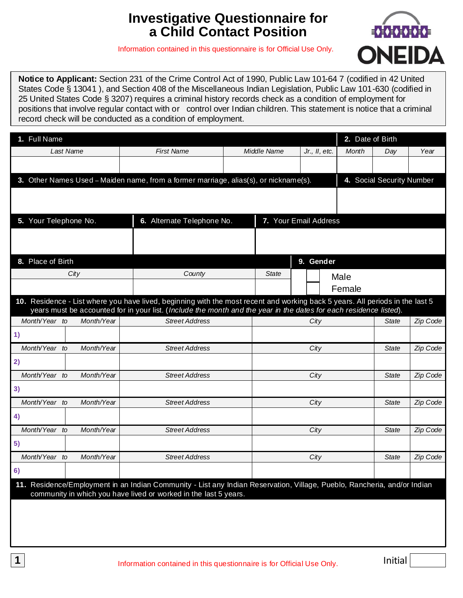# **Investigative Questionnaire for a Child Contact Position**

Information contained in this questionnaire is for Official Use Only.



 **Notice to Applicant:** Section 231 of the Crime Control Act of 1990, Public Law 101-64 7 (codified in 42 United States Code § 13041 ), and Section 408 of the Miscellaneous Indian Legislation, Public Law 101-630 (codified in 25 United States Code § 3207) requires a criminal history records check as a condition of employment for positions that involve regular contact with or control over Indian children. This statement is notice that a criminal record check will be conducted as a condition of employment.

| 1. Full Name                                                                                                                                                                                 |                            |              |                       | 2. Date of Birth |                           |          |
|----------------------------------------------------------------------------------------------------------------------------------------------------------------------------------------------|----------------------------|--------------|-----------------------|------------------|---------------------------|----------|
| Last Name                                                                                                                                                                                    | <b>First Name</b>          | Middle Name  | $Jr.$ , $ll$ , etc.   | Month            | Day                       | Year     |
|                                                                                                                                                                                              |                            |              |                       |                  |                           |          |
| 3. Other Names Used - Maiden name, from a former marriage, alias(s), or nickname(s).                                                                                                         |                            |              |                       |                  | 4. Social Security Number |          |
|                                                                                                                                                                                              |                            |              |                       |                  |                           |          |
|                                                                                                                                                                                              |                            |              |                       |                  |                           |          |
| 5. Your Telephone No.                                                                                                                                                                        | 6. Alternate Telephone No. |              | 7. Your Email Address |                  |                           |          |
|                                                                                                                                                                                              |                            |              |                       |                  |                           |          |
|                                                                                                                                                                                              |                            |              |                       |                  |                           |          |
| 8. Place of Birth                                                                                                                                                                            |                            |              | 9. Gender             |                  |                           |          |
| City                                                                                                                                                                                         | County                     | <b>State</b> |                       | Male             |                           |          |
|                                                                                                                                                                                              |                            |              |                       | Female           |                           |          |
| 10. Residence - List where you have lived, beginning with the most recent and working back 5 years. All periods in the last 5                                                                |                            |              |                       |                  |                           |          |
| years must be accounted for in your list. (Include the month and the year in the dates for each residence listed).<br>Month/Year to<br>Month/Year                                            | <b>Street Address</b>      |              |                       |                  | State                     | Zip Code |
|                                                                                                                                                                                              |                            |              | City                  |                  |                           |          |
| 1)<br>Month/Year to<br>Month/Year                                                                                                                                                            | <b>Street Address</b>      |              |                       |                  |                           |          |
|                                                                                                                                                                                              |                            |              | City                  |                  | <b>State</b>              | Zip Code |
| 2)                                                                                                                                                                                           |                            |              |                       |                  |                           |          |
| Month/Year to<br>Month/Year                                                                                                                                                                  | <b>Street Address</b>      |              | City                  |                  | <b>State</b>              | Zip Code |
| 3)                                                                                                                                                                                           |                            |              |                       |                  |                           |          |
| Month/Year to<br>Month/Year                                                                                                                                                                  | <b>Street Address</b>      |              | City                  |                  | State                     | Zip Code |
| 4)                                                                                                                                                                                           |                            |              |                       |                  |                           |          |
| Month/Year to<br>Month/Year                                                                                                                                                                  | <b>Street Address</b>      |              | City                  |                  | State                     | Zip Code |
| 5)                                                                                                                                                                                           |                            |              |                       |                  |                           |          |
| Month/Year to<br>Month/Year                                                                                                                                                                  | <b>Street Address</b>      |              | City                  |                  | <b>State</b>              | Zip Code |
| 6)                                                                                                                                                                                           |                            |              |                       |                  |                           |          |
| 11. Residence/Employment in an Indian Community - List any Indian Reservation, Village, Pueblo, Rancheria, and/or Indian<br>community in which you have lived or worked in the last 5 years. |                            |              |                       |                  |                           |          |
|                                                                                                                                                                                              |                            |              |                       |                  |                           |          |
|                                                                                                                                                                                              |                            |              |                       |                  |                           |          |
|                                                                                                                                                                                              |                            |              |                       |                  |                           |          |
|                                                                                                                                                                                              |                            |              |                       |                  |                           |          |

Initial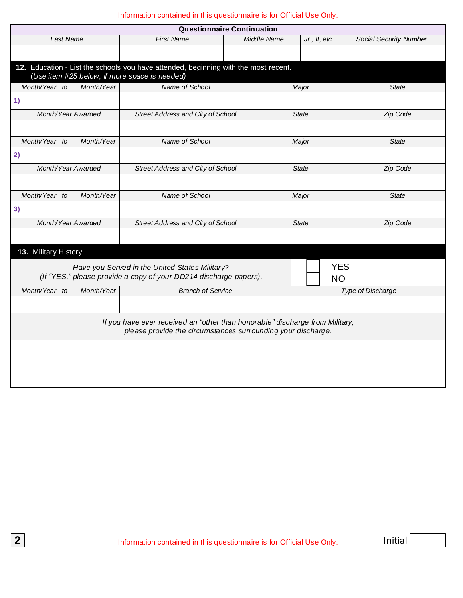| <b>Questionnaire Continuation</b>                                                                                                            |                    |                                                                                                                     |  |             |                         |                        |  |  |
|----------------------------------------------------------------------------------------------------------------------------------------------|--------------------|---------------------------------------------------------------------------------------------------------------------|--|-------------|-------------------------|------------------------|--|--|
|                                                                                                                                              | Last Name          | <b>First Name</b>                                                                                                   |  | Middle Name | Jr., II, etc.           | Social Security Number |  |  |
|                                                                                                                                              |                    |                                                                                                                     |  |             |                         |                        |  |  |
| 12. Education - List the schools you have attended, beginning with the most recent.<br>(Use item #25 below, if more space is needed)         |                    |                                                                                                                     |  |             |                         |                        |  |  |
| Month/Year to                                                                                                                                | Month/Year         | Name of School                                                                                                      |  |             | Major                   | <b>State</b>           |  |  |
| 1)                                                                                                                                           |                    |                                                                                                                     |  |             |                         |                        |  |  |
|                                                                                                                                              | Month/Year Awarded | Street Address and City of School                                                                                   |  |             | <b>State</b>            | Zip Code               |  |  |
|                                                                                                                                              |                    |                                                                                                                     |  |             |                         |                        |  |  |
| Month/Year to                                                                                                                                | Month/Year         | Name of School                                                                                                      |  |             | Major                   | <b>State</b>           |  |  |
| 2)                                                                                                                                           |                    |                                                                                                                     |  |             |                         |                        |  |  |
|                                                                                                                                              | Month/Year Awarded | Street Address and City of School                                                                                   |  |             | <b>State</b>            | Zip Code               |  |  |
|                                                                                                                                              |                    |                                                                                                                     |  |             |                         |                        |  |  |
| Month/Year to                                                                                                                                | Month/Year         | Name of School                                                                                                      |  | Major       |                         | <b>State</b>           |  |  |
| 3)                                                                                                                                           |                    |                                                                                                                     |  |             |                         |                        |  |  |
|                                                                                                                                              | Month/Year Awarded | Street Address and City of School                                                                                   |  |             | <b>State</b>            | Zip Code               |  |  |
|                                                                                                                                              |                    |                                                                                                                     |  |             |                         |                        |  |  |
| 13. Military History                                                                                                                         |                    |                                                                                                                     |  |             |                         |                        |  |  |
|                                                                                                                                              |                    | Have you Served in the United States Military?<br>(If "YES," please provide a copy of your DD214 discharge papers). |  |             | <b>YES</b><br><b>NO</b> |                        |  |  |
| Month/Year to                                                                                                                                | Month/Year         | <b>Branch of Service</b>                                                                                            |  |             |                         | Type of Discharge      |  |  |
|                                                                                                                                              |                    |                                                                                                                     |  |             |                         |                        |  |  |
| If you have ever received an "other than honorable" discharge from Military,<br>please provide the circumstances surrounding your discharge. |                    |                                                                                                                     |  |             |                         |                        |  |  |
|                                                                                                                                              |                    |                                                                                                                     |  |             |                         |                        |  |  |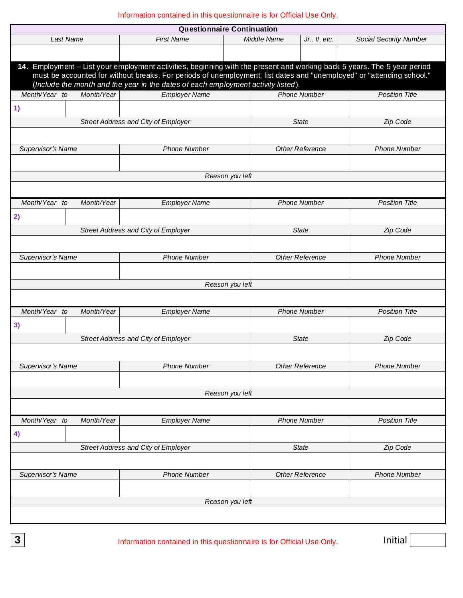| <b>Questionnaire Continuation</b>                   |                                     |                                                                                                                                                                                                                                                                                                                                        |                        |                        |                        |  |  |
|-----------------------------------------------------|-------------------------------------|----------------------------------------------------------------------------------------------------------------------------------------------------------------------------------------------------------------------------------------------------------------------------------------------------------------------------------------|------------------------|------------------------|------------------------|--|--|
|                                                     | Last Name                           | <b>First Name</b>                                                                                                                                                                                                                                                                                                                      | Middle Name            | Jr., II, etc.          | Social Security Number |  |  |
|                                                     |                                     |                                                                                                                                                                                                                                                                                                                                        |                        |                        |                        |  |  |
|                                                     |                                     | 14. Employment – List your employment activities, beginning with the present and working back 5 years. The 5 year period<br>must be accounted for without breaks. For periods of unemployment, list dates and "unemployed" or "attending school."<br>(Include the month and the year in the dates of each employment activity listed). |                        |                        |                        |  |  |
| Month/Year to                                       | Month/Year                          | <b>Employer Name</b>                                                                                                                                                                                                                                                                                                                   |                        | <b>Phone Number</b>    | <b>Position Title</b>  |  |  |
| 1)                                                  |                                     |                                                                                                                                                                                                                                                                                                                                        |                        |                        |                        |  |  |
|                                                     |                                     | Street Address and City of Employer                                                                                                                                                                                                                                                                                                    |                        | State                  | Zip Code               |  |  |
|                                                     |                                     |                                                                                                                                                                                                                                                                                                                                        |                        |                        |                        |  |  |
| Supervisor's Name                                   |                                     | <b>Phone Number</b>                                                                                                                                                                                                                                                                                                                    |                        | <b>Other Reference</b> | <b>Phone Number</b>    |  |  |
|                                                     |                                     |                                                                                                                                                                                                                                                                                                                                        |                        |                        |                        |  |  |
|                                                     |                                     |                                                                                                                                                                                                                                                                                                                                        | Reason you left        |                        |                        |  |  |
|                                                     |                                     |                                                                                                                                                                                                                                                                                                                                        |                        |                        |                        |  |  |
| Month/Year to                                       | Month/Year                          | <b>Employer Name</b>                                                                                                                                                                                                                                                                                                                   |                        | <b>Phone Number</b>    | <b>Position Title</b>  |  |  |
| 2)                                                  |                                     |                                                                                                                                                                                                                                                                                                                                        |                        |                        |                        |  |  |
|                                                     |                                     | Street Address and City of Employer                                                                                                                                                                                                                                                                                                    |                        | <b>State</b>           | Zip Code               |  |  |
|                                                     |                                     |                                                                                                                                                                                                                                                                                                                                        |                        |                        |                        |  |  |
| Supervisor's Name                                   |                                     | <b>Phone Number</b>                                                                                                                                                                                                                                                                                                                    |                        | <b>Other Reference</b> | <b>Phone Number</b>    |  |  |
|                                                     |                                     |                                                                                                                                                                                                                                                                                                                                        |                        |                        |                        |  |  |
| Reason you left                                     |                                     |                                                                                                                                                                                                                                                                                                                                        |                        |                        |                        |  |  |
|                                                     |                                     |                                                                                                                                                                                                                                                                                                                                        |                        |                        |                        |  |  |
| Month/Year to                                       | Month/Year                          | <b>Employer Name</b>                                                                                                                                                                                                                                                                                                                   |                        | <b>Phone Number</b>    | <b>Position Title</b>  |  |  |
| 3)                                                  |                                     |                                                                                                                                                                                                                                                                                                                                        |                        |                        |                        |  |  |
| Street Address and City of Employer<br><b>State</b> |                                     |                                                                                                                                                                                                                                                                                                                                        |                        | Zip Code               |                        |  |  |
|                                                     |                                     |                                                                                                                                                                                                                                                                                                                                        |                        |                        |                        |  |  |
| Supervisor's Name                                   |                                     | <b>Phone Number</b>                                                                                                                                                                                                                                                                                                                    |                        | <b>Other Reference</b> | <b>Phone Number</b>    |  |  |
|                                                     |                                     |                                                                                                                                                                                                                                                                                                                                        |                        |                        |                        |  |  |
|                                                     |                                     |                                                                                                                                                                                                                                                                                                                                        | Reason you left        |                        |                        |  |  |
|                                                     |                                     |                                                                                                                                                                                                                                                                                                                                        |                        |                        |                        |  |  |
| Month/Year to                                       | Month/Year                          | <b>Employer Name</b>                                                                                                                                                                                                                                                                                                                   |                        | <b>Phone Number</b>    | <b>Position Title</b>  |  |  |
| 4)                                                  |                                     |                                                                                                                                                                                                                                                                                                                                        |                        |                        |                        |  |  |
|                                                     | Street Address and City of Employer |                                                                                                                                                                                                                                                                                                                                        | State                  | Zip Code               |                        |  |  |
|                                                     |                                     |                                                                                                                                                                                                                                                                                                                                        |                        |                        |                        |  |  |
| Supervisor's Name<br><b>Phone Number</b>            |                                     |                                                                                                                                                                                                                                                                                                                                        | <b>Other Reference</b> | <b>Phone Number</b>    |                        |  |  |
|                                                     |                                     |                                                                                                                                                                                                                                                                                                                                        |                        |                        |                        |  |  |
| Reason you left                                     |                                     |                                                                                                                                                                                                                                                                                                                                        |                        |                        |                        |  |  |
|                                                     |                                     |                                                                                                                                                                                                                                                                                                                                        |                        |                        |                        |  |  |
|                                                     |                                     |                                                                                                                                                                                                                                                                                                                                        |                        |                        |                        |  |  |

**3** Information contained in this questionnaire is for Official Use Only. **Initial**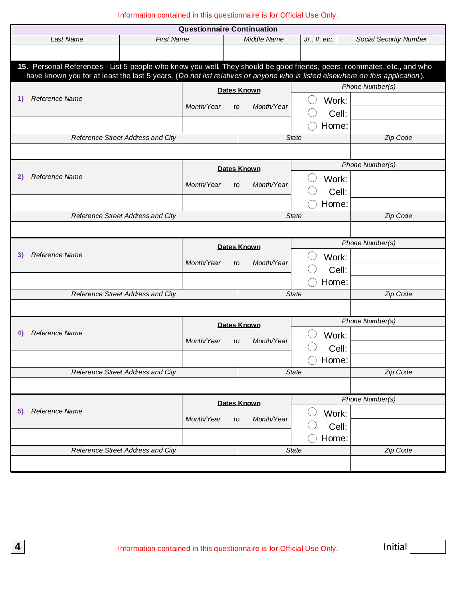| <b>Questionnaire Continuation</b>                                                                                            |                                   |            |                    |                          |                        |  |  |
|------------------------------------------------------------------------------------------------------------------------------|-----------------------------------|------------|--------------------|--------------------------|------------------------|--|--|
| Last Name                                                                                                                    | <b>First Name</b>                 |            | Middle Name        | Jr., II, etc.            | Social Security Number |  |  |
|                                                                                                                              |                                   |            |                    |                          |                        |  |  |
| 15. Personal References - List 5 people who know you well. They should be good friends, peers, roommates, etc., and who      |                                   |            |                    |                          |                        |  |  |
| have known you for at least the last 5 years. (Do not list relatives or anyone who is listed elsewhere on this application). |                                   |            |                    |                          |                        |  |  |
|                                                                                                                              |                                   |            | Dates Known        |                          | Phone Number(s)        |  |  |
| Reference Name<br>1)                                                                                                         |                                   | Month/Year | Month/Year<br>to   | Work:                    |                        |  |  |
|                                                                                                                              |                                   |            |                    | Cell:                    |                        |  |  |
|                                                                                                                              |                                   |            |                    | Home:                    |                        |  |  |
|                                                                                                                              | Reference Street Address and City |            |                    | <b>State</b>             | Zip Code               |  |  |
|                                                                                                                              |                                   |            |                    |                          |                        |  |  |
|                                                                                                                              |                                   |            | <b>Dates Known</b> |                          | Phone Number(s)        |  |  |
| Reference Name<br>2)                                                                                                         |                                   |            |                    | Work:                    |                        |  |  |
|                                                                                                                              |                                   | Month/Year | Month/Year<br>to   | Cell:                    |                        |  |  |
|                                                                                                                              |                                   |            |                    | Home:                    |                        |  |  |
|                                                                                                                              | Reference Street Address and City |            |                    | <b>State</b>             | Zip Code               |  |  |
|                                                                                                                              |                                   |            |                    |                          |                        |  |  |
|                                                                                                                              |                                   |            | <b>Dates Known</b> |                          | Phone Number(s)        |  |  |
| Reference Name<br>3)                                                                                                         |                                   |            |                    | Work:                    |                        |  |  |
|                                                                                                                              |                                   | Month/Year | Month/Year<br>to   | Cell:                    |                        |  |  |
|                                                                                                                              |                                   |            |                    | Home:                    |                        |  |  |
|                                                                                                                              | Reference Street Address and City |            |                    | <b>State</b>             | Zip Code               |  |  |
|                                                                                                                              |                                   |            |                    |                          |                        |  |  |
|                                                                                                                              |                                   |            | <b>Dates Known</b> |                          | Phone Number(s)        |  |  |
| <b>Reference Name</b><br>4)                                                                                                  |                                   |            |                    | Work:                    |                        |  |  |
|                                                                                                                              |                                   | Month/Year | Month/Year<br>to   | Cell:                    |                        |  |  |
|                                                                                                                              |                                   |            |                    | Home:                    |                        |  |  |
|                                                                                                                              | Reference Street Address and City |            |                    | <b>State</b>             | Zip Code               |  |  |
|                                                                                                                              |                                   |            |                    |                          |                        |  |  |
|                                                                                                                              |                                   |            |                    |                          | Phone Number(s)        |  |  |
| Reference Name<br>5)                                                                                                         |                                   |            | <b>Dates Known</b> | Work:                    |                        |  |  |
|                                                                                                                              |                                   | Month/Year | Month/Year<br>to   | Cell:                    |                        |  |  |
|                                                                                                                              |                                   |            |                    | Home:                    |                        |  |  |
| Reference Street Address and City                                                                                            |                                   |            |                    | Zip Code<br><b>State</b> |                        |  |  |
|                                                                                                                              |                                   |            |                    |                          |                        |  |  |
|                                                                                                                              |                                   |            |                    |                          |                        |  |  |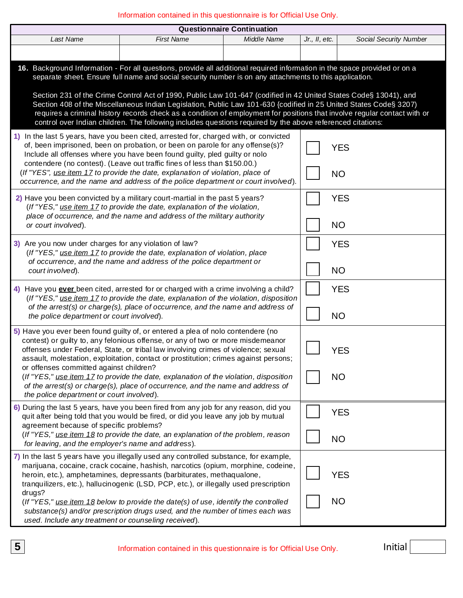Information contained in this questionnaire is for Official Use Only.

|                                                                                                                                                                                                                                                                                                                                                                                                                                                                                                                                                                                                                                                                                                                         |                                                                                                                                                                                                                                                                                                                                                                                                                                          | <b>Questionnaire Continuation</b> |               |                         |  |  |  |
|-------------------------------------------------------------------------------------------------------------------------------------------------------------------------------------------------------------------------------------------------------------------------------------------------------------------------------------------------------------------------------------------------------------------------------------------------------------------------------------------------------------------------------------------------------------------------------------------------------------------------------------------------------------------------------------------------------------------------|------------------------------------------------------------------------------------------------------------------------------------------------------------------------------------------------------------------------------------------------------------------------------------------------------------------------------------------------------------------------------------------------------------------------------------------|-----------------------------------|---------------|-------------------------|--|--|--|
| Last Name                                                                                                                                                                                                                                                                                                                                                                                                                                                                                                                                                                                                                                                                                                               | <b>First Name</b>                                                                                                                                                                                                                                                                                                                                                                                                                        | Middle Name                       | Jr., II, etc. | Social Security Number  |  |  |  |
|                                                                                                                                                                                                                                                                                                                                                                                                                                                                                                                                                                                                                                                                                                                         |                                                                                                                                                                                                                                                                                                                                                                                                                                          |                                   |               |                         |  |  |  |
| 16. Background Information - For all questions, provide all additional required information in the space provided or on a<br>separate sheet. Ensure full name and social security number is on any attachments to this application.<br>Section 231 of the Crime Control Act of 1990, Public Law 101-647 (codified in 42 United States Code§ 13041), and<br>Section 408 of the Miscellaneous Indian Legislation, Public Law 101-630 {codified in 25 United States Code§ 3207)<br>requires a criminal history records check as a condition of employment for positions that involve regular contact with or<br>control over Indian children. The following includes questions required by the above referenced citations: |                                                                                                                                                                                                                                                                                                                                                                                                                                          |                                   |               |                         |  |  |  |
| 1) In the last 5 years, have you been cited, arrested for, charged with, or convicted<br>of, been imprisoned, been on probation, or been on parole for any offense(s)?<br><b>YES</b><br>Include all offenses where you have been found guilty, pled guilty or nolo<br>contendere (no contest). (Leave out traffic fines of less than \$150.00.)<br>(If "YES", use item 17 to provide the date, explanation of violation, place of<br><b>NO</b><br>occurrence, and the name and address of the police department or court involved).                                                                                                                                                                                     |                                                                                                                                                                                                                                                                                                                                                                                                                                          |                                   |               |                         |  |  |  |
| 2) Have you been convicted by a military court-martial in the past 5 years?<br>(If "YES," use item 17 to provide the date, explanation of the violation,<br>place of occurrence, and the name and address of the military authority<br>or court involved).                                                                                                                                                                                                                                                                                                                                                                                                                                                              |                                                                                                                                                                                                                                                                                                                                                                                                                                          |                                   |               | <b>YES</b><br><b>NO</b> |  |  |  |
| 3) Are you now under charges for any violation of law?<br>(If "YES," use item 17 to provide the date, explanation of violation, place<br>of occurrence, and the name and address of the police department or<br>court involved).                                                                                                                                                                                                                                                                                                                                                                                                                                                                                        |                                                                                                                                                                                                                                                                                                                                                                                                                                          | <b>YES</b><br><b>NO</b>           |               |                         |  |  |  |
| 4) Have you <b>ever</b> been cited, arrested for or charged with a crime involving a child?<br>(If "YES," use item 17 to provide the date, explanation of the violation, disposition<br>of the arrest(s) or charge(s), place of occurrence, and the name and address of<br>the police department or court involved).                                                                                                                                                                                                                                                                                                                                                                                                    |                                                                                                                                                                                                                                                                                                                                                                                                                                          |                                   |               | <b>YES</b><br><b>NO</b> |  |  |  |
| 5) Have you ever been found guilty of, or entered a plea of nolo contendere (no<br>or offenses committed against children?<br>the police department or court involved).                                                                                                                                                                                                                                                                                                                                                                                                                                                                                                                                                 | contest) or guilty to, any felonious offense, or any of two or more misdemeanor<br>offenses under Federal, State, or tribal law involving crimes of violence; sexual<br>assault, molestation, exploitation, contact or prostitution; crimes against persons;<br>(If "YES," use item 17 to provide the date, explanation of the violation, disposition<br>of the arrest(s) or charge(s), place of occurrence, and the name and address of |                                   |               | YES<br><b>NO</b>        |  |  |  |
| 6) During the last 5 years, have you been fired from any job for any reason, did you<br>agreement because of specific problems?<br>for leaving, and the employer's name and address).                                                                                                                                                                                                                                                                                                                                                                                                                                                                                                                                   | quit after being told that you would be fired, or did you leave any job by mutual<br>(If "YES," use item 18 to provide the date, an explanation of the problem, reason                                                                                                                                                                                                                                                                   |                                   |               | <b>YES</b><br><b>NO</b> |  |  |  |
| 7) In the last 5 years have you illegally used any controlled substance, for example,<br>drugs?<br>used. Include any treatment or counseling received).                                                                                                                                                                                                                                                                                                                                                                                                                                                                                                                                                                 | marijuana, cocaine, crack cocaine, hashish, narcotics (opium, morphine, codeine,<br>heroin, etc.), amphetamines, depressants (barbiturates, methaqualone,<br>tranquilizers, etc.), hallucinogenic (LSD, PCP, etc.), or illegally used prescription<br>(If "YES," use item 18 below to provide the date(s) of use, identify the controlled<br>substance(s) and/or prescription drugs used, and the number of times each was               |                                   |               | <b>YES</b><br><b>NO</b> |  |  |  |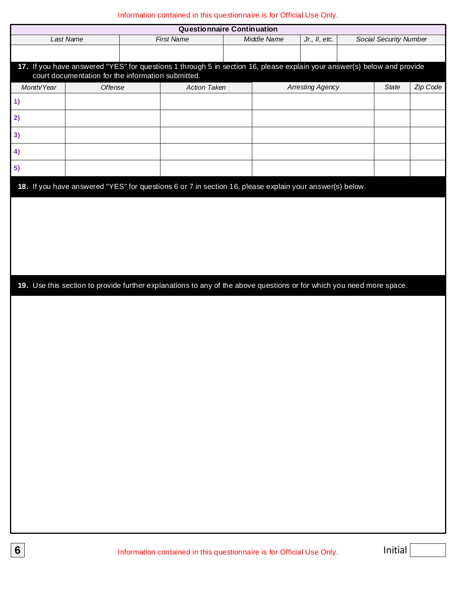| <b>Questionnaire Continuation</b> |                                                                                                                                                                               |                     |  |             |                         |  |                        |          |
|-----------------------------------|-------------------------------------------------------------------------------------------------------------------------------------------------------------------------------|---------------------|--|-------------|-------------------------|--|------------------------|----------|
|                                   | Last Name                                                                                                                                                                     | <b>First Name</b>   |  | Middle Name | Jr., II, etc.           |  | Social Security Number |          |
|                                   |                                                                                                                                                                               |                     |  |             |                         |  |                        |          |
|                                   | 17. If you have answered "YES" for questions 1 through 5 in section 16, please explain your answer(s) below and provide<br>court documentation for the information submitted. |                     |  |             |                         |  |                        |          |
| Month/Year                        | Offense                                                                                                                                                                       | <b>Action Taken</b> |  |             | <b>Arresting Agency</b> |  | State                  | Zip Code |
| 1)                                |                                                                                                                                                                               |                     |  |             |                         |  |                        |          |
| 2)                                |                                                                                                                                                                               |                     |  |             |                         |  |                        |          |
| 3)                                |                                                                                                                                                                               |                     |  |             |                         |  |                        |          |
| 4)                                |                                                                                                                                                                               |                     |  |             |                         |  |                        |          |
| 5)                                |                                                                                                                                                                               |                     |  |             |                         |  |                        |          |
|                                   | 18. If you have answered "YES" for questions 6 or 7 in section 16, please explain your answer(s) below.                                                                       |                     |  |             |                         |  |                        |          |
|                                   |                                                                                                                                                                               |                     |  |             |                         |  |                        |          |
|                                   |                                                                                                                                                                               |                     |  |             |                         |  |                        |          |
|                                   |                                                                                                                                                                               |                     |  |             |                         |  |                        |          |
|                                   |                                                                                                                                                                               |                     |  |             |                         |  |                        |          |
|                                   |                                                                                                                                                                               |                     |  |             |                         |  |                        |          |
|                                   | 19. Use this section to provide further explanations to any of the above questions or for which you need more space.                                                          |                     |  |             |                         |  |                        |          |
|                                   |                                                                                                                                                                               |                     |  |             |                         |  |                        |          |
|                                   |                                                                                                                                                                               |                     |  |             |                         |  |                        |          |
|                                   |                                                                                                                                                                               |                     |  |             |                         |  |                        |          |
|                                   |                                                                                                                                                                               |                     |  |             |                         |  |                        |          |
|                                   |                                                                                                                                                                               |                     |  |             |                         |  |                        |          |
|                                   |                                                                                                                                                                               |                     |  |             |                         |  |                        |          |
|                                   |                                                                                                                                                                               |                     |  |             |                         |  |                        |          |
|                                   |                                                                                                                                                                               |                     |  |             |                         |  |                        |          |
|                                   |                                                                                                                                                                               |                     |  |             |                         |  |                        |          |
|                                   |                                                                                                                                                                               |                     |  |             |                         |  |                        |          |
|                                   |                                                                                                                                                                               |                     |  |             |                         |  |                        |          |
|                                   |                                                                                                                                                                               |                     |  |             |                         |  |                        |          |
|                                   |                                                                                                                                                                               |                     |  |             |                         |  |                        |          |
|                                   |                                                                                                                                                                               |                     |  |             |                         |  |                        |          |
|                                   |                                                                                                                                                                               |                     |  |             |                         |  |                        |          |
|                                   |                                                                                                                                                                               |                     |  |             |                         |  |                        |          |